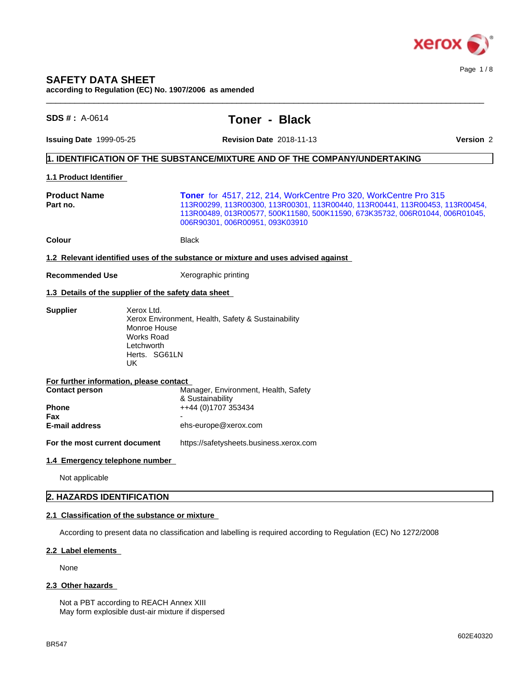

**according to Regulation (EC) No. 1907/2006 as amended**

| $SDS #: A-0614$                                                | <b>Toner - Black</b>                                                                                                                                                                                                                                                |
|----------------------------------------------------------------|---------------------------------------------------------------------------------------------------------------------------------------------------------------------------------------------------------------------------------------------------------------------|
| <b>Issuing Date 1999-05-25</b>                                 | <b>Revision Date 2018-11-13</b><br><b>Version 2</b>                                                                                                                                                                                                                 |
|                                                                | 1. IDENTIFICATION OF THE SUBSTANCE/MIXTURE AND OF THE COMPANY/UNDERTAKING                                                                                                                                                                                           |
| 1.1 Product Identifier                                         |                                                                                                                                                                                                                                                                     |
| <b>Product Name</b><br>Part no.                                | Toner for 4517, 212, 214, WorkCentre Pro 320, WorkCentre Pro 315<br>113R00299, 113R00300, 113R00301, 113R00440, 113R00441, 113R00453, 113R00454,<br>113R00489, 013R00577, 500K11580, 500K11590, 673K35732, 006R01044, 006R01045,<br>006R90301, 006R00951, 093K03910 |
| <b>Colour</b>                                                  | Black                                                                                                                                                                                                                                                               |
|                                                                | 1.2 Relevant identified uses of the substance or mixture and uses advised against                                                                                                                                                                                   |
| <b>Recommended Use</b>                                         | Xerographic printing                                                                                                                                                                                                                                                |
|                                                                | 1.3 Details of the supplier of the safety data sheet                                                                                                                                                                                                                |
| <b>Supplier</b>                                                | Xerox Ltd.<br>Xerox Environment, Health, Safety & Sustainability<br>Monroe House<br><b>Works Road</b><br>Letchworth<br>Herts. SG61LN<br>UK.                                                                                                                         |
| For further information, please contact                        |                                                                                                                                                                                                                                                                     |
| <b>Contact person</b><br>Phone<br>Fax<br><b>E-mail address</b> | Manager, Environment, Health, Safety<br>& Sustainability<br>++44 (0)1707 353434<br>ehs-europe@xerox.com                                                                                                                                                             |
| For the most current document                                  | https://safetysheets.business.xerox.com                                                                                                                                                                                                                             |
| 1.4 Emergency telephone number                                 |                                                                                                                                                                                                                                                                     |
| Not applicable                                                 |                                                                                                                                                                                                                                                                     |
| 2. HAZARDS IDENTIFICATION                                      |                                                                                                                                                                                                                                                                     |
|                                                                |                                                                                                                                                                                                                                                                     |

 $\_$  ,  $\_$  ,  $\_$  ,  $\_$  ,  $\_$  ,  $\_$  ,  $\_$  ,  $\_$  ,  $\_$  ,  $\_$  ,  $\_$  ,  $\_$  ,  $\_$  ,  $\_$  ,  $\_$  ,  $\_$  ,  $\_$  ,  $\_$  ,  $\_$  ,  $\_$  ,  $\_$  ,  $\_$  ,  $\_$  ,  $\_$  ,  $\_$  ,  $\_$  ,  $\_$  ,  $\_$  ,  $\_$  ,  $\_$  ,  $\_$  ,  $\_$  ,  $\_$  ,  $\_$  ,  $\_$  ,  $\_$  ,  $\_$  ,

## **2.1 Classification of the substance or mixture**

According to present data no classification and labelling is required according to Regulation (EC) No 1272/2008

## **2.2 Label elements**

None

## 2.3 Other hazards

Not a PBT according to REACH Annex XIII May form explosible dust-air mixture if dispersed Page 1 / 8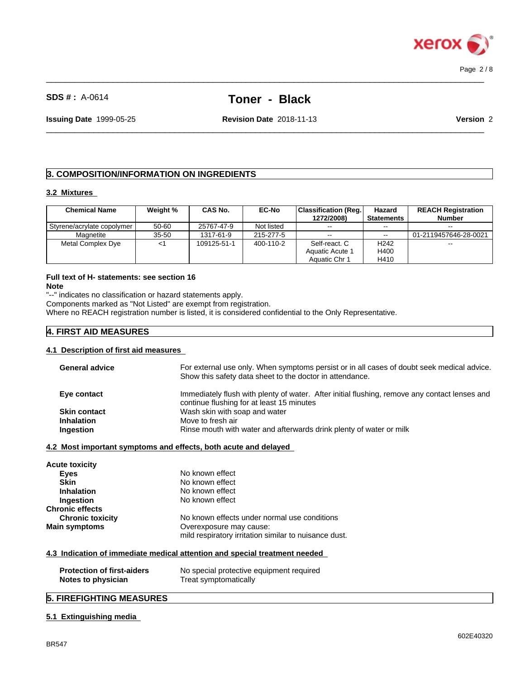

# **SDS # :** A-0614 **Toner - Black**

 $\_$  ,  $\_$  ,  $\_$  ,  $\_$  ,  $\_$  ,  $\_$  ,  $\_$  ,  $\_$  ,  $\_$  ,  $\_$  ,  $\_$  ,  $\_$  ,  $\_$  ,  $\_$  ,  $\_$  ,  $\_$  ,  $\_$  ,  $\_$  ,  $\_$  ,  $\_$  ,  $\_$  ,  $\_$  ,  $\_$  ,  $\_$  ,  $\_$  ,  $\_$  ,  $\_$  ,  $\_$  ,  $\_$  ,  $\_$  ,  $\_$  ,  $\_$  ,  $\_$  ,  $\_$  ,  $\_$  ,  $\_$  ,  $\_$  ,

 $\_$  ,  $\_$  ,  $\_$  ,  $\_$  ,  $\_$  ,  $\_$  ,  $\_$  ,  $\_$  ,  $\_$  ,  $\_$  ,  $\_$  ,  $\_$  ,  $\_$  ,  $\_$  ,  $\_$  ,  $\_$  ,  $\_$  ,  $\_$  ,  $\_$  ,  $\_$  ,  $\_$  ,  $\_$  ,  $\_$  ,  $\_$  ,  $\_$  ,  $\_$  ,  $\_$  ,  $\_$  ,  $\_$  ,  $\_$  ,  $\_$  ,  $\_$  ,  $\_$  ,  $\_$  ,  $\_$  ,  $\_$  ,  $\_$  ,

**Issuing Date** 1999-05-25 **Revision Date** 2018-11-13 **Version** 2

## **3. COMPOSITION/INFORMATION ON INGREDIENTS**

## **3.2 Mixtures**

| <b>Chemical Name</b>       | Weight %  | CAS No.     | <b>EC-No</b> | <b>Classification (Reg.)</b> | Hazard            | <b>REACH Registration</b> |
|----------------------------|-----------|-------------|--------------|------------------------------|-------------------|---------------------------|
|                            |           |             |              | 1272/2008)                   | <b>Statements</b> | <b>Number</b>             |
| Styrene/acrylate copolymer | 50-60     | 25767-47-9  | Not listed   | $- -$                        | $- -$             | $\sim$ $\sim$             |
| Magnetite                  | $35 - 50$ | 1317-61-9   | 215-277-5    | $- -$                        | $\sim$ $\sim$     | 01-2119457646-28-0021     |
| Metal Complex Dye          |           | 109125-51-1 | 400-110-2    | Self-react. C                | H <sub>242</sub>  | $\sim$                    |
|                            |           |             |              | <b>Aquatic Acute 1</b>       | H400              |                           |
|                            |           |             |              | Aquatic Chr 1                | H410              |                           |

# **Full text of H- statements: see section 16**

**Note**

"--" indicates no classification or hazard statements apply.

Components marked as "Not Listed" are exempt from registration.

Where no REACH registration number is listed, it is considered confidential to the Only Representative.

## **4. FIRST AID MEASURES**

#### **4.1 Description of first aid measures**

| <b>General advice</b>             | For external use only. When symptoms persist or in all cases of doubt seek medical advice.<br>Show this safety data sheet to the doctor in attendance. |
|-----------------------------------|--------------------------------------------------------------------------------------------------------------------------------------------------------|
| Eye contact                       | Immediately flush with plenty of water. After initial flushing, remove any contact lenses and<br>continue flushing for at least 15 minutes             |
| <b>Skin contact</b>               | Wash skin with soap and water                                                                                                                          |
| <b>Inhalation</b>                 | Move to fresh air                                                                                                                                      |
| Ingestion                         | Rinse mouth with water and afterwards drink plenty of water or milk                                                                                    |
|                                   | 4.2 Most important symptoms and effects, both acute and delayed                                                                                        |
| Acute toxicity                    |                                                                                                                                                        |
| <b>Eyes</b>                       | No known effect                                                                                                                                        |
| <b>Skin</b>                       | No known effect                                                                                                                                        |
| <b>Inhalation</b>                 | No known effect                                                                                                                                        |
| Ingestion                         | No known effect                                                                                                                                        |
| Chronic effects                   |                                                                                                                                                        |
|                                   | No known effects under normal use conditions                                                                                                           |
| <b>Chronic toxicity</b>           |                                                                                                                                                        |
|                                   | Overexposure may cause:                                                                                                                                |
|                                   | mild respiratory irritation similar to nuisance dust.                                                                                                  |
| Main symptoms                     | 4.3 Indication of immediate medical attention and special treatment needed                                                                             |
| <b>Protection of first-aiders</b> | No special protective equipment required                                                                                                               |

# **5. FIREFIGHTING MEASURES**

## **5.1 Extinguishing media**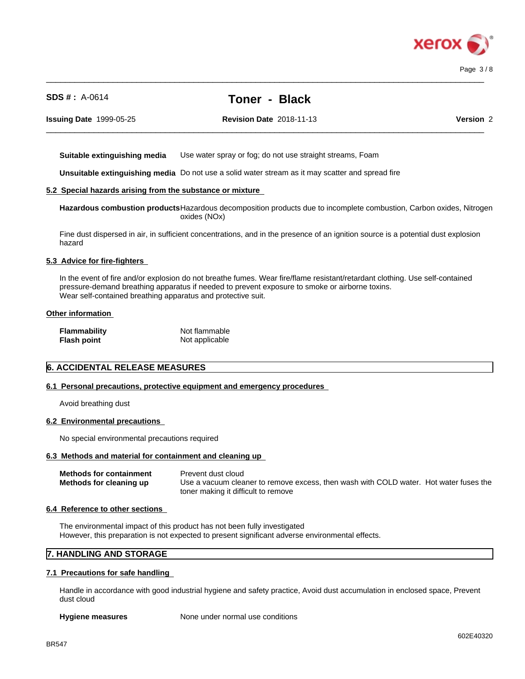

Page 3 / 8

# **SDS # :** A-0614 **Toner - Black**

 $\_$  ,  $\_$  ,  $\_$  ,  $\_$  ,  $\_$  ,  $\_$  ,  $\_$  ,  $\_$  ,  $\_$  ,  $\_$  ,  $\_$  ,  $\_$  ,  $\_$  ,  $\_$  ,  $\_$  ,  $\_$  ,  $\_$  ,  $\_$  ,  $\_$  ,  $\_$  ,  $\_$  ,  $\_$  ,  $\_$  ,  $\_$  ,  $\_$  ,  $\_$  ,  $\_$  ,  $\_$  ,  $\_$  ,  $\_$  ,  $\_$  ,  $\_$  ,  $\_$  ,  $\_$  ,  $\_$  ,  $\_$  ,  $\_$  ,

 $\_$  ,  $\_$  ,  $\_$  ,  $\_$  ,  $\_$  ,  $\_$  ,  $\_$  ,  $\_$  ,  $\_$  ,  $\_$  ,  $\_$  ,  $\_$  ,  $\_$  ,  $\_$  ,  $\_$  ,  $\_$  ,  $\_$  ,  $\_$  ,  $\_$  ,  $\_$  ,  $\_$  ,  $\_$  ,  $\_$  ,  $\_$  ,  $\_$  ,  $\_$  ,  $\_$  ,  $\_$  ,  $\_$  ,  $\_$  ,  $\_$  ,  $\_$  ,  $\_$  ,  $\_$  ,  $\_$  ,  $\_$  ,  $\_$  ,

**Issuing Date** 1999-05-25 **Revision Date** 2018-11-13 **Version** 2

**Suitable extinguishing media** Use water spray or fog; do not use straight streams, Foam

**Unsuitable extinguishing media** Do not use a solid water stream as it may scatterand spread fire

## **5.2 Special hazards arising from the substance or mixture**

**Hazardous combustion products**Hazardous decomposition products due to incomplete combustion, Carbon oxides, Nitrogen oxides (NOx)

Fine dust dispersed in air, in sufficient concentrations, and in the presence of an ignition source is a potential dust explosion hazard

#### **5.3 Advice for fire-fighters**

In the event of fire and/or explosion do not breathe fumes. Wear fire/flame resistant/retardant clothing. Use self-contained pressure-demand breathing apparatus if needed to prevent exposure to smoke or airborne toxins. Wear self-contained breathing apparatus and protective suit.

## **Other information**

| Flammability       | Not flammable  |
|--------------------|----------------|
| <b>Flash point</b> | Not applicable |

## **6. ACCIDENTAL RELEASE MEASURES**

#### **6.1 Personal precautions, protective equipment and emergency procedures**

Avoid breathing dust

#### **6.2 Environmental precautions**

No special environmental precautions required

#### **6.3 Methods and material for containment and cleaning up**

| <b>Methods for containment</b> | Prevent dust cloud                                                                    |
|--------------------------------|---------------------------------------------------------------------------------------|
| Methods for cleaning up        | Use a vacuum cleaner to remove excess, then wash with COLD water. Hot water fuses the |
|                                | toner making it difficult to remove                                                   |

#### **6.4 Reference to other sections**

The environmental impact of this product has not been fully investigated However, this preparation is not expected to present significant adverse environmental effects.

## **7. HANDLING AND STORAGE**

#### **7.1 Precautions for safe handling**

Handle in accordance with good industrial hygiene and safety practice, Avoid dust accumulation in enclosed space, Prevent dust cloud

**Hygiene measures** None under normal use conditions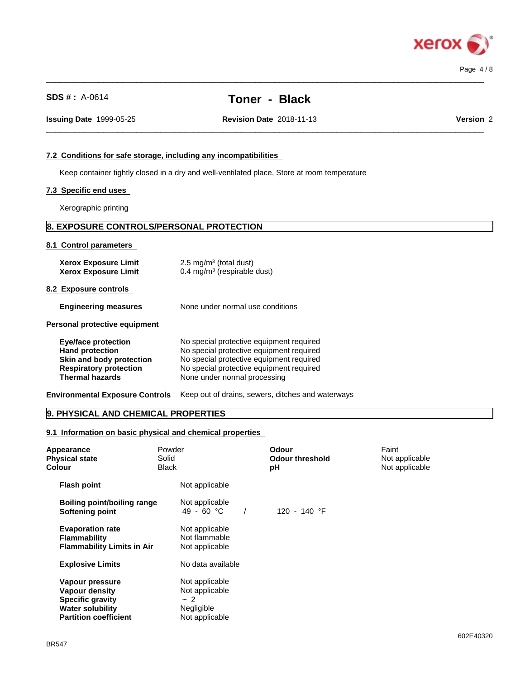

| <b>SDS #: A-0614</b>                                                                                                                        | Toner - Black                                                                                                                                                                                                |           |
|---------------------------------------------------------------------------------------------------------------------------------------------|--------------------------------------------------------------------------------------------------------------------------------------------------------------------------------------------------------------|-----------|
| <b>Issuing Date 1999-05-25</b>                                                                                                              | <b>Revision Date 2018-11-13</b>                                                                                                                                                                              | Version 2 |
| 7.2 Conditions for safe storage, including any incompatibilities                                                                            |                                                                                                                                                                                                              |           |
|                                                                                                                                             | Keep container tightly closed in a dry and well-ventilated place, Store at room temperature                                                                                                                  |           |
| 7.3 Specific end uses                                                                                                                       |                                                                                                                                                                                                              |           |
| Xerographic printing                                                                                                                        |                                                                                                                                                                                                              |           |
| 8. EXPOSURE CONTROLS/PERSONAL PROTECTION                                                                                                    |                                                                                                                                                                                                              |           |
| 8.1 Control parameters                                                                                                                      |                                                                                                                                                                                                              |           |
| <b>Xerox Exposure Limit</b><br><b>Xerox Exposure Limit</b>                                                                                  | 2.5 mg/m <sup>3</sup> (total dust)<br>$0.4 \text{ mg/m}^3$ (respirable dust)                                                                                                                                 |           |
| 8.2 Exposure controls                                                                                                                       |                                                                                                                                                                                                              |           |
| <b>Engineering measures</b>                                                                                                                 | None under normal use conditions                                                                                                                                                                             |           |
| Personal protective equipment                                                                                                               |                                                                                                                                                                                                              |           |
| <b>Eye/face protection</b><br><b>Hand protection</b><br>Skin and body protection<br><b>Respiratory protection</b><br><b>Thermal hazards</b> | No special protective equipment required<br>No special protective equipment required<br>No special protective equipment required<br>No special protective equipment required<br>None under normal processing |           |
|                                                                                                                                             | Environmental Exposure Controls Keep out of drains, sewers, ditches and waterways                                                                                                                            |           |
| 9. PHYSICAL AND CHEMICAL PROPERTIES                                                                                                         |                                                                                                                                                                                                              |           |

 $\_$  ,  $\_$  ,  $\_$  ,  $\_$  ,  $\_$  ,  $\_$  ,  $\_$  ,  $\_$  ,  $\_$  ,  $\_$  ,  $\_$  ,  $\_$  ,  $\_$  ,  $\_$  ,  $\_$  ,  $\_$  ,  $\_$  ,  $\_$  ,  $\_$  ,  $\_$  ,  $\_$  ,  $\_$  ,  $\_$  ,  $\_$  ,  $\_$  ,  $\_$  ,  $\_$  ,  $\_$  ,  $\_$  ,  $\_$  ,  $\_$  ,  $\_$  ,  $\_$  ,  $\_$  ,  $\_$  ,  $\_$  ,  $\_$  ,

## **9.1 Information on basic physical and chemical properties**

| Appearance<br><b>Physical state</b><br><b>Colour</b>                                                                           | Powder<br>Solid<br><b>Black</b>                                          | <b>Odour</b><br><b>Odour threshold</b><br>pH | Faint<br>Not applicable<br>Not applicable |  |
|--------------------------------------------------------------------------------------------------------------------------------|--------------------------------------------------------------------------|----------------------------------------------|-------------------------------------------|--|
| <b>Flash point</b>                                                                                                             | Not applicable                                                           |                                              |                                           |  |
| Boiling point/boiling range<br>Softening point                                                                                 | Not applicable<br>49 - 60 °C                                             | 120 - 140 °F                                 |                                           |  |
| <b>Evaporation rate</b><br><b>Flammability</b><br><b>Flammability Limits in Air</b>                                            | Not applicable<br>Not flammable<br>Not applicable                        |                                              |                                           |  |
| <b>Explosive Limits</b>                                                                                                        | No data available                                                        |                                              |                                           |  |
| Vapour pressure<br><b>Vapour density</b><br><b>Specific gravity</b><br><b>Water solubility</b><br><b>Partition coefficient</b> | Not applicable<br>Not applicable<br>$-2$<br>Negligible<br>Not applicable |                                              |                                           |  |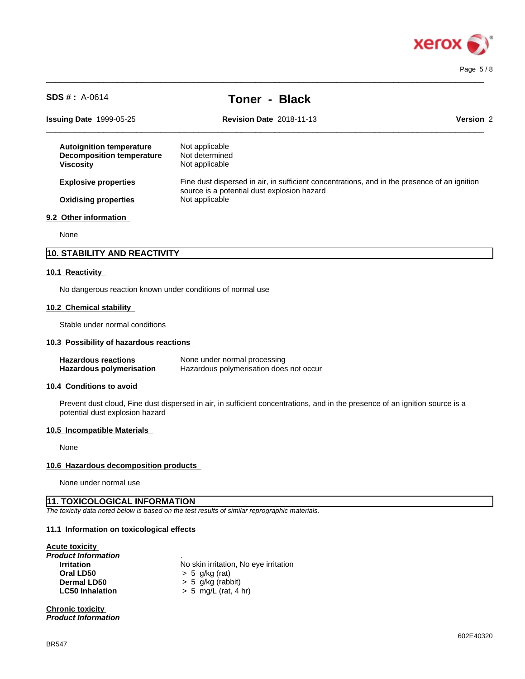

Page 5 / 8

| $SDS # : A-0614$                                                                        | <b>Toner - Black</b>                                                                                                                                          |           |
|-----------------------------------------------------------------------------------------|---------------------------------------------------------------------------------------------------------------------------------------------------------------|-----------|
| <b>Issuing Date 1999-05-25</b>                                                          | <b>Revision Date 2018-11-13</b>                                                                                                                               | Version 2 |
| <b>Autoignition temperature</b><br><b>Decomposition temperature</b><br><b>Viscosity</b> | Not applicable<br>Not determined<br>Not applicable                                                                                                            |           |
| <b>Explosive properties</b><br><b>Oxidising properties</b>                              | Fine dust dispersed in air, in sufficient concentrations, and in the presence of an ignition<br>source is a potential dust explosion hazard<br>Not applicable |           |
| 9.2 Other information                                                                   |                                                                                                                                                               |           |
| None                                                                                    |                                                                                                                                                               |           |
| 10. STABILITY AND REACTIVITY                                                            |                                                                                                                                                               |           |
| 10.1 Reactivity                                                                         |                                                                                                                                                               |           |
| No dangerous reaction known under conditions of normal use                              |                                                                                                                                                               |           |

 $\_$  ,  $\_$  ,  $\_$  ,  $\_$  ,  $\_$  ,  $\_$  ,  $\_$  ,  $\_$  ,  $\_$  ,  $\_$  ,  $\_$  ,  $\_$  ,  $\_$  ,  $\_$  ,  $\_$  ,  $\_$  ,  $\_$  ,  $\_$  ,  $\_$  ,  $\_$  ,  $\_$  ,  $\_$  ,  $\_$  ,  $\_$  ,  $\_$  ,  $\_$  ,  $\_$  ,  $\_$  ,  $\_$  ,  $\_$  ,  $\_$  ,  $\_$  ,  $\_$  ,  $\_$  ,  $\_$  ,  $\_$  ,  $\_$  ,

#### **10.2 Chemical stability**

Stable under normal conditions

## **10.3 Possibility of hazardous reactions**

| <b>Hazardous reactions</b> | None under normal processing            |
|----------------------------|-----------------------------------------|
| Hazardous polymerisation   | Hazardous polymerisation does not occur |

## **10.4 Conditions to avoid**

Prevent dust cloud, Fine dust dispersed in air, in sufficient concentrations, and in the presence of an ignition source is a potential dust explosion hazard

#### **10.5 Incompatible Materials**

None

## **10.6 Hazardous decomposition products**

None under normal use

## **11. TOXICOLOGICAL INFORMATION**

*The toxicity data noted below is based on the test results of similar reprographic materials.*

## **11.1 Information on toxicologicaleffects**

## **Acute toxicity**

| Product Information    |                |
|------------------------|----------------|
| <b>Irritation</b>      | No skin irrita |
| Oral LD50              | $> 5$ g/kg (ra |
| Dermal LD50            | $> 5$ g/kg (ra |
| <b>LC50 Inhalation</b> | $> 5$ mg/L (r  |

**No skin irritation, No eye irritation Oral LD50** > 5 g/kg (rat) **Dermal LD50** > 5 g/kg (rabbit) **LC50 Inhalation** > 5 mg/L (rat, 4 hr)

## **Chronic toxicity**

*Product Information*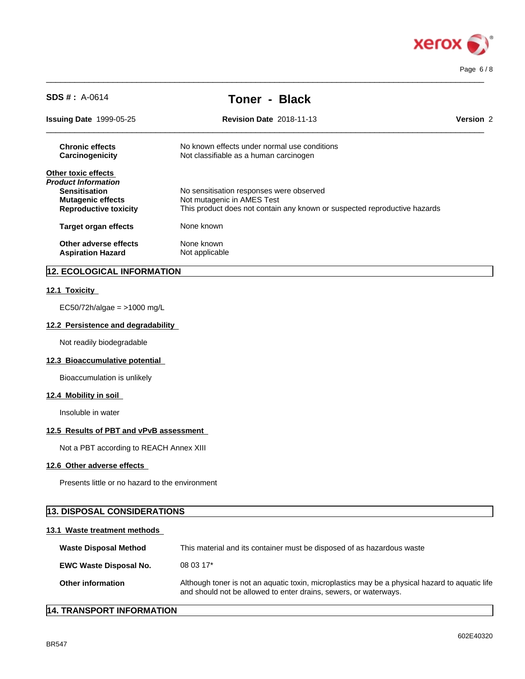

| $SDS # : A-0614$                                                                                                               | <b>Toner - Black</b>                                                                                                                                |                  |
|--------------------------------------------------------------------------------------------------------------------------------|-----------------------------------------------------------------------------------------------------------------------------------------------------|------------------|
| <b>Issuing Date 1999-05-25</b>                                                                                                 | <b>Revision Date 2018-11-13</b>                                                                                                                     | <b>Version 2</b> |
| <b>Chronic effects</b><br>Carcinogenicity                                                                                      | No known effects under normal use conditions<br>Not classifiable as a human carcinogen                                                              |                  |
| Other toxic effects<br>Product Information<br><b>Sensitisation</b><br><b>Mutagenic effects</b><br><b>Reproductive toxicity</b> | No sensitisation responses were observed<br>Not mutagenic in AMES Test<br>This product does not contain any known or suspected reproductive hazards |                  |
| <b>Target organ effects</b>                                                                                                    | None known                                                                                                                                          |                  |
| Other adverse effects<br><b>Aspiration Hazard</b>                                                                              | None known<br>Not applicable                                                                                                                        |                  |
|                                                                                                                                |                                                                                                                                                     |                  |

 $\_$  ,  $\_$  ,  $\_$  ,  $\_$  ,  $\_$  ,  $\_$  ,  $\_$  ,  $\_$  ,  $\_$  ,  $\_$  ,  $\_$  ,  $\_$  ,  $\_$  ,  $\_$  ,  $\_$  ,  $\_$  ,  $\_$  ,  $\_$  ,  $\_$  ,  $\_$  ,  $\_$  ,  $\_$  ,  $\_$  ,  $\_$  ,  $\_$  ,  $\_$  ,  $\_$  ,  $\_$  ,  $\_$  ,  $\_$  ,  $\_$  ,  $\_$  ,  $\_$  ,  $\_$  ,  $\_$  ,  $\_$  ,  $\_$  ,

## **12. ECOLOGICAL INFORMATION**

## **12.1 Toxicity**

EC50/72h/algae = >1000 mg/L

## **12.2 Persistence and degradability**

Not readily biodegradable

## **12.3 Bioaccumulative potential**

Bioaccumulation is unlikely

## **12.4 Mobility in soil**

Insoluble in water

## **12.5 Results of PBT and vPvB assessment**

Not a PBT according to REACH Annex XIII

## **12.6 Other adverse effects**

Presents little or no hazard to the environment

# **13. DISPOSAL CONSIDERATIONS**

## **13.1 Waste treatment methods**

| <b>Waste Disposal Method</b>  | This material and its container must be disposed of as hazardous waste                                                                                             |
|-------------------------------|--------------------------------------------------------------------------------------------------------------------------------------------------------------------|
| <b>EWC Waste Disposal No.</b> | $080317*$                                                                                                                                                          |
| <b>Other information</b>      | Although toner is not an aquatic toxin, microplastics may be a physical hazard to aquatic life<br>and should not be allowed to enter drains, sewers, or waterways. |

# **14. TRANSPORT INFORMATION**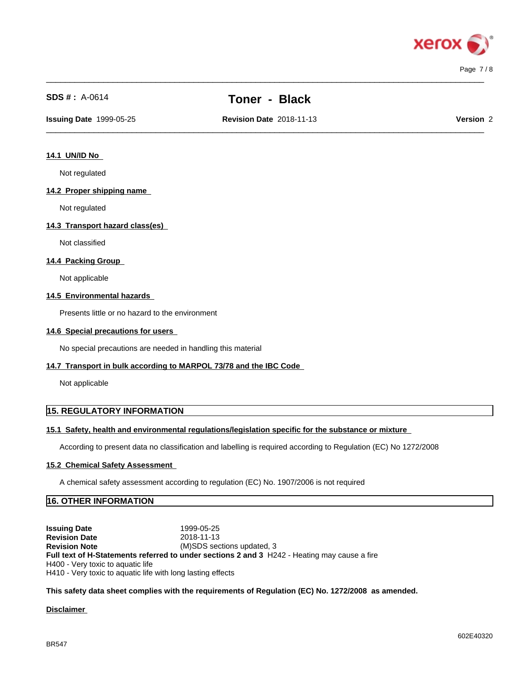

# **SDS # :** A-0614 **Toner - Black**

 $\_$  ,  $\_$  ,  $\_$  ,  $\_$  ,  $\_$  ,  $\_$  ,  $\_$  ,  $\_$  ,  $\_$  ,  $\_$  ,  $\_$  ,  $\_$  ,  $\_$  ,  $\_$  ,  $\_$  ,  $\_$  ,  $\_$  ,  $\_$  ,  $\_$  ,  $\_$  ,  $\_$  ,  $\_$  ,  $\_$  ,  $\_$  ,  $\_$  ,  $\_$  ,  $\_$  ,  $\_$  ,  $\_$  ,  $\_$  ,  $\_$  ,  $\_$  ,  $\_$  ,  $\_$  ,  $\_$  ,  $\_$  ,  $\_$  ,

 $\_$  ,  $\_$  ,  $\_$  ,  $\_$  ,  $\_$  ,  $\_$  ,  $\_$  ,  $\_$  ,  $\_$  ,  $\_$  ,  $\_$  ,  $\_$  ,  $\_$  ,  $\_$  ,  $\_$  ,  $\_$  ,  $\_$  ,  $\_$  ,  $\_$  ,  $\_$  ,  $\_$  ,  $\_$  ,  $\_$  ,  $\_$  ,  $\_$  ,  $\_$  ,  $\_$  ,  $\_$  ,  $\_$  ,  $\_$  ,  $\_$  ,  $\_$  ,  $\_$  ,  $\_$  ,  $\_$  ,  $\_$  ,  $\_$  ,

**Issuing Date** 1999-05-25 **Revision Date** 2018-11-13 **Version** 2

#### **14.1 UN/ID No**

Not regulated

#### **14.2 Proper shipping name**

Not regulated

#### **14.3 Transport hazard class(es)**

Not classified

## **14.4 Packing Group**

Not applicable

#### **14.5 Environmental hazards**

Presents little or no hazard to the environment

#### **14.6 Special precautions for users**

No special precautions are needed in handling this material

## **14.7 Transport in bulk according to MARPOL 73/78 and the IBC Code**

Not applicable

## **15. REGULATORY INFORMATION**

#### **15.1 Safety, health and environmental regulations/legislation specific for the substance or mixture**

According to present data no classification and labelling is required according to Regulation (EC) No 1272/2008

## **15.2 Chemical Safety Assessment**

A chemical safety assessment according to regulation (EC) No. 1907/2006 isnot required

## **16. OTHER INFORMATION**

**Issuing Date** 1999-05-25 **Revision Date** 2018-11-13<br> **Revision Note** (M)SDS sec (M)SDS sections updated, 3 **Full text of H-Statements referred to undersections 2 and 3** H242 - Heating may cause a fire H400 - Very toxic to aquatic life H410 - Very toxic to aquatic life with long lasting effects

#### **This safety data sheet complies with the requirements of Regulation (EC) No. 1272/2008 as amended.**

#### **Disclaimer**